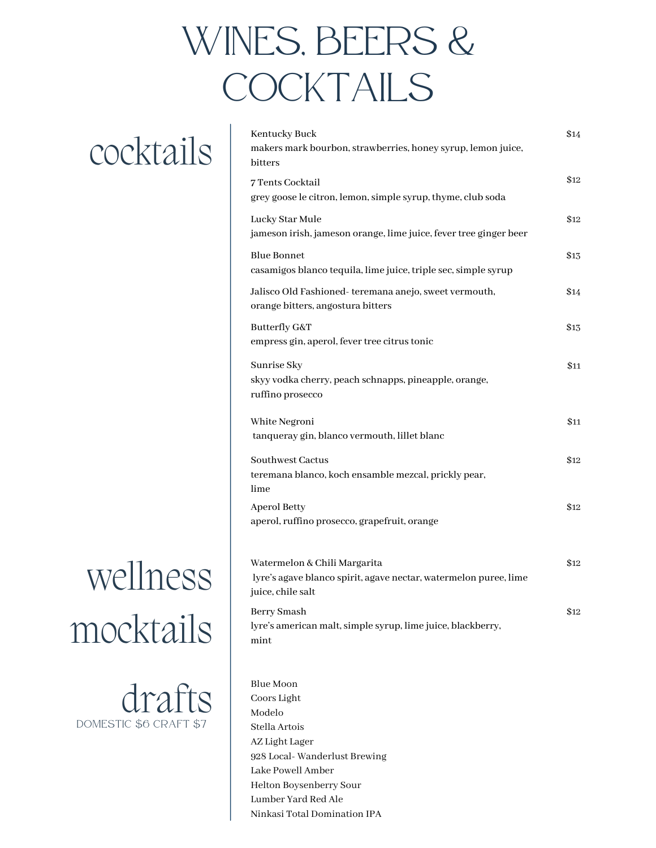### WINES, BEERS & COCKTAILS

### cocktails

## wellness mocktails

dra DOMESTIC \$6 CRAFT \$7

| Kentucky Buck<br>makers mark bourbon, strawberries, honey syrup, lemon juice,<br>bitters                              | \$14 |
|-----------------------------------------------------------------------------------------------------------------------|------|
| 7 Tents Cocktail<br>grey goose le citron, lemon, simple syrup, thyme, club soda                                       | \$12 |
| Lucky Star Mule<br>jameson irish, jameson orange, lime juice, fever tree ginger beer                                  | \$12 |
| <b>Blue Bonnet</b><br>casamigos blanco tequila, lime juice, triple sec, simple syrup                                  | \$13 |
| Jalisco Old Fashioned- teremana anejo, sweet vermouth,<br>orange bitters, angostura bitters                           | \$14 |
| Butterfly G&T<br>empress gin, aperol, fever tree citrus tonic                                                         | \$13 |
| Sunrise Sky<br>skyy vodka cherry, peach schnapps, pineapple, orange,<br>ruffino prosecco                              | \$11 |
| White Negroni<br>tanqueray gin, blanco vermouth, lillet blanc                                                         | \$11 |
| Southwest Cactus<br>teremana blanco, koch ensamble mezcal, prickly pear,<br>lime                                      | \$12 |
| <b>Aperol Betty</b><br>aperol, ruffino prosecco, grapefruit, orange                                                   | \$12 |
| Watermelon & Chili Margarita<br>lyre's agave blanco spirit, agave nectar, watermelon puree, lime<br>juice, chile salt | \$12 |
| <b>Berry Smash</b><br>lyre's american malt, simple syrup, lime juice, blackberry,                                     | \$12 |

mint

Blue Moon Coors Light Modelo Stella Artois AZ Light Lager 928 Local- Wanderlust Brewing Lake Powell Amber Helton Boysenberry Sour Lumber Yard Red Ale Ninkasi Total Domination IPA